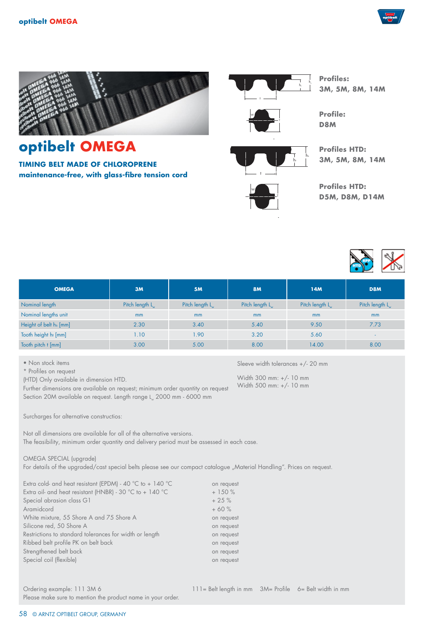



**TIMING BELT MADE OF CHLOROPRENE maintenance-free, with glass-fibre tension cord**



T

h,



**Profiles: 3M, 5M, 8M, 14M**

**Profile: D8M**

**Profiles HTD: 3M, 5M, 8M, 14M**



Sleeve width tolerances +/- 20 mm

Width 300 mm: +/- 10 mm Width 500 mm: +/- 10 mm **Profiles HTD: D5M, D8M, D14M**



| <b>OMEGA</b>           | 3M                          | <b>5M</b>                   | <b>8M</b>                   | 14 <sub>M</sub>             | D <sub>8</sub> M            |
|------------------------|-----------------------------|-----------------------------|-----------------------------|-----------------------------|-----------------------------|
| Nominal length         | Pitch length L <sub>u</sub> | Pitch length L <sub>u</sub> | Pitch length L <sub>w</sub> | Pitch length L <sub>w</sub> | Pitch length L <sub>u</sub> |
| Nominal lengths unit   | m <sub>m</sub>              | mm                          | m <sub>m</sub>              | m <sub>m</sub>              | <sub>mm</sub>               |
| Height of belt hs [mm] | 2.30                        | 3.40                        | 5.40                        | 9.50                        | 7.73                        |
| Tooth height ht [mm]   | 1.10                        | 1.90                        | 3.20                        | 5.60                        | $\sim$                      |
| Tooth pitch t [mm]     | 3.00                        | 5.00                        | 8.00                        | 14.00                       | 8.00                        |

• Non stock items

\* Profiles on request

(HTD) Only available in dimension HTD.

Further dimensions are available on request; minimum order quantity on request Section 20M available on request. Length range L. 2000 mm - 6000 mm

Surcharges for alternative constructios:

Not all dimensions are available for all of the alternative versions. The feasibility, minimum order quantity and delivery period must be assessed in each case.

#### OMEGA SPECIAL (upgrade)

For details of the upgraded/cast special belts please see our compact catalogue "Material Handling". Prices on request.

Extra cold- and heat resistant (EPDM) - 40 °C to + 140 °C on request Extra oil- and heat resistant (HNBR) - 30 °C to + 140 °C  $+ 150$  % Special abrasion class G1 + 25 % Aramidcord + 60 % White mixture, 55 Shore A and 75 Shore A on request Silicone red, 50 Shore A on request Restrictions to standard tolerances for width or length on request Ribbed belt profile PK on belt back on request Strengthened belt back on request Special coil (flexible) and the contract of the contract of the contract of the contract of the contract of the contract of the contract of the contract of the contract of the contract of the contract of the contract of th

Please make sure to mention the product name in your order.

58 © ARNTZ OPTIBELT GROUP, GERMANY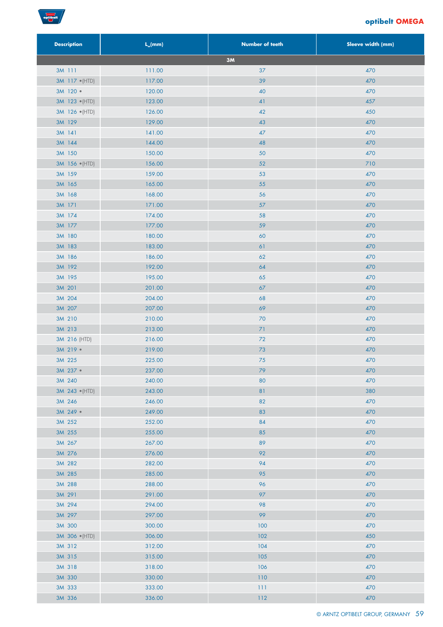

| <b>Description</b> | $L_{w}$ (mm) | <b>Number of teeth</b> | Sleeve width (mm) |
|--------------------|--------------|------------------------|-------------------|
|                    |              | 3M                     |                   |
| 3M 111             | 111.00       | 37                     | 470               |
| 3M 117 · (HTD)     | 117.00       | 39                     | 470               |
| 3M 120 ·           | 120.00       | 40                     | 470               |
| 3M 123 (HTD)       | 123.00       | 41                     | 457               |
| 3M 126 · (HTD)     | 126.00       | 42                     | 450               |
| 3M 129             | 129.00       | 43                     | 470               |
| 3M 141             | 141.00       | 47                     | 470               |
| 3M 144             | 144.00       | 48                     | 470               |
| 3M 150             | 150.00       | 50                     | 470               |
| 3M 156 (HTD)       | 156.00       | 52                     | 710               |
| 3M 159             | 159.00       | 53                     | 470               |
| 3M 165             | 165.00       | 55                     | 470               |
| 3M 168             | 168.00       | 56                     | 470               |
| 3M 171             | 171.00       | 57                     | 470               |
| 3M 174             | 174.00       | 58                     | 470               |
| 3M 177             | 177.00       | 59                     | 470               |
| 3M 180             | 180.00       | 60                     | 470               |
| 3M 183             | 183.00       | 61                     | 470               |
| 3M 186             | 186.00       | 62                     | 470               |
| 3M 192             | 192.00       | 64                     | 470               |
| 3M 195             | 195.00       | 65                     | 470               |
| 3M 201             | 201.00       | $67$                   | 470               |
| 3M 204             | 204.00       | 68                     | 470               |
| 3M 207             | 207.00       | 69                     | 470               |
| 3M 210             | 210.00       | 70                     | 470               |
| 3M 213             | 213.00       | 71                     | 470               |
| 3M 216 (HTD)       | 216.00       | 72                     | 470               |
| 3M 219 ·           | 219.00       | $73$                   | 470               |
| 3M 225             | 225.00       | $75$                   | 470               |
| $3M$ 237 $\bullet$ | 237.00       | 79                     | 470               |
| 3M 240             | 240.00       | 80                     | 470               |
| 3M 243 · (HTD)     | 243.00       | $\pmb{8}$ ]            | 380               |
| 3M 246             | 246.00       | 82                     | 470               |
| 3M 249 ·           | 249.00       | 83                     | 470               |
| 3M 252             | 252.00       | 84                     | 470               |
| 3M 255             | 255.00       | 85                     | 470               |
| 3M 267             | 267.00       | 89                     | 470               |
| 3M 276             | 276.00       | 92                     | 470               |
| 3M 282             | 282.00       | 94                     | 470               |
| 3M 285             | 285.00       | 95                     | 470               |
| 3M 288             | 288.00       | 96                     | 470               |
| 3M 291             | 291.00       | 97                     | 470               |
| 3M 294             | 294.00       | 98                     | 470               |
| 3M 297             | 297.00       | 99                     | 470               |
| 3M 300             | 300.00       | 100                    | 470               |
| 3M 306 · (HTD)     | 306.00       | 102                    | 450               |
| 3M 312             | 312.00       | 104                    | 470               |
| 3M 315             | 315.00       | 105                    | 470               |
| 3M 318             | 318.00       | 106                    | 470               |
| 3M 330             | 330.00       | 110                    | 470               |
| 3M 333             | 333.00       | 111                    | 470               |
| 3M 336             | 336.00       | $112$                  | 470               |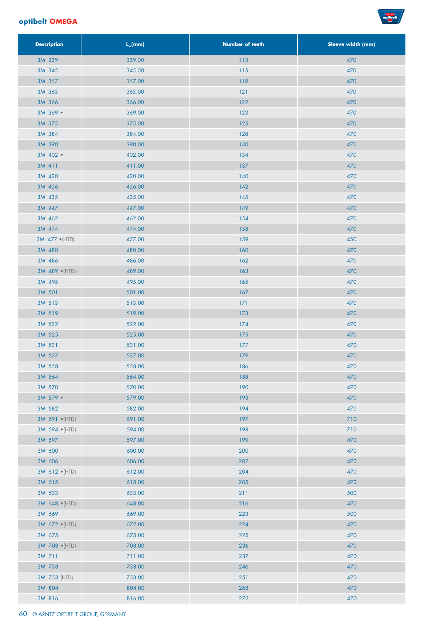

| <b>Description</b> | $L_{w}$ (mm) | <b>Number of teeth</b> | Sleeve width (mm) |
|--------------------|--------------|------------------------|-------------------|
| 3M 339             | 339.00       | 113                    | 470               |
| 3M 345             | 345.00       | 115                    | 470               |
| 3M 357             | 357.00       | 119                    | 470               |
| 3M 363             | 363.00       | 121                    | 470               |
| 3M 366             | 366.00       | 122                    | 470               |
| 3M 369 ·           | 369.00       | 123                    | 470               |
| 3M 375             | 375.00       | 125                    | 470               |
| 3M 384             | 384.00       | 128                    | 470               |
| 3M 390             | 390.00       | 130                    | 470               |
| 3M 402 ·           | 402.00       | 134                    | 470               |
| 3M 411             | 411.00       | 137                    | 470               |
| 3M 420             | 420.00       | 140                    | 470               |
| 3M 426             | 426.00       | 142                    | 470               |
| 3M 435             | 435.00       | 145                    | 470               |
| 3M 447             | 447.00       | 149                    | 470               |
| 3M 462             | 462.00       | 154                    | 470               |
| 3M 474             | 474.00       | 158                    | 470               |
| 3M 477 · (HTD)     | 477.00       | 159                    | 450               |
| 3M 480             | 480.00       | 160                    | 470               |
| 3M 486             | 486.00       | 162                    | 470               |
| 3M 489 · (HTD)     | 489.00       | 163                    | 470               |
| 3M 495             | 495.00       | 165                    | 470               |
| 3M 501             | 501.00       | 167                    | 470               |
| 3M 513             | 513.00       | 171                    | 470               |
| 3M 519             | 519.00       | 173                    | 470               |
| 3M 522             | 522.00       | 174                    | 470               |
| 3M 525             | 525.00       | 175                    | 470               |
| 3M 531             | 531.00       | 177                    | 470               |
| 3M 537             | 537.00       | 179                    | 470               |
| 3M 558             | 558.00       | 186                    | 470               |
| 3M 564             | 564.00       | 188                    | 470               |
| 3M 570             | 570.00       | 190                    | 470               |
| 3M 579 ·           | 579.00       | 193                    | 470               |
| 3M 582             | 582.00       | 194                    | 470               |
| 3M 591 · (HTD)     | 591.00       | 197                    | 710               |
| 3M 594 · (HTD)     | 594.00       | 198                    | 710               |
| 3M 597             | 597.00       | 199                    | 470               |
| 3M 600             | 600.00       | 200                    | 470               |
| 3M 606             | 606.00       | 202                    | 470               |
| 3M 612 · (HTD)     | 612.00       | 204                    | 470               |
| 3M 615             | 615.00       | 205                    | 470               |
| 3M 633             | 633.00       | 211                    | 500               |
| 3M 648 · (HTD)     | 648.00       | 216                    | 470               |
| 3M 669             | 669.00       | 223                    | 500               |
| 3M 672 · (HTD)     | 672.00       | 224                    | 470               |
| 3M 675             | 675.00       | 225                    | 470               |
| 3M 708 · (HTD)     | 708.00       | 236                    | 470               |
| 3M 711             | 711.00       | 237                    | 470               |
| 3M 738             | 738.00       | 246                    | 470               |
| 3M 753 (HTD)       | 753.00       | 251                    | 470               |
| 3M 804             | 804.00       | 268                    | 470               |
| 3M 816             | 816.00       | $272\,$                | 470               |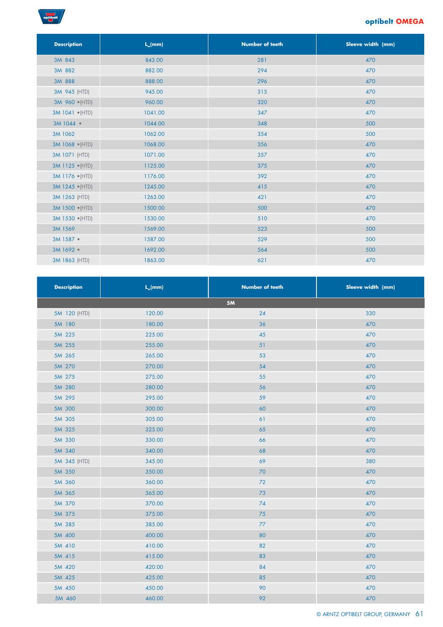

| <b>Description</b> | $L_{w}$ (mm) | <b>Number of teeth</b> | Sleeve width (mm) |
|--------------------|--------------|------------------------|-------------------|
| 3M 843             | 843.00       | 281                    | 470               |
| 3M 882             | 882.00       | 294                    | 470               |
| 3M 888             | 888.00       | 296                    | 470               |
| 3M 945 (HTD)       | 945.00       | 315                    | 470               |
| 3M 960 · (HTD)     | 960.00       | 320                    | 470               |
| 3M 1041 • (HTD)    | 1041.00      | 347                    | 470               |
| 3M 1044 .          | 1044.00      | 348                    | 500               |
| 3M 1062            | 1062.00      | 354                    | 500               |
| 3M 1068 · (HTD)    | 1068.00      | 356                    | 470               |
| 3M 1071 (HTD)      | 1071.00      | 357                    | 470               |
| 3M 1125 • (HTD)    | 1125.00      | 375                    | 470               |
| 3M 1176 · (HTD)    | 1176.00      | 392                    | 470               |
| 3M 1245 • (HTD)    | 1245.00      | 415                    | 470               |
| 3M 1263 (HTD)      | 1263.00      | 421                    | 470               |
| 3M 1500 (HTD)      | 1500.00      | 500                    | 470               |
| 3M 1530 • (HTD)    | 1530.00      | 510                    | 470               |
| 3M 1569            | 1569.00      | 523                    | 500               |
| 3M 1587 ·          | 1587.00      | 529                    | 500               |
| 3M 1692 ·          | 1692.00      | 564                    | 500               |
| 3M 1863 (HTD)      | 1863.00      | 621                    | 470               |

| <b>Description</b> | $L_{w}$ (mm) | <b>Number of teeth</b> | Sleeve width (mm) |
|--------------------|--------------|------------------------|-------------------|
|                    |              | 5M                     |                   |
| 5M 120 (HTD)       | 120.00       | 24                     | 330               |
| 5M 180             | 180.00       | 36                     | 470               |
| 5M 225             | 225.00       | 45                     | 470               |
| 5M 255             | 255.00       | 51                     | 470               |
| 5M 265             | 265.00       | 53                     | 470               |
| 5M 270             | 270.00       | 54                     | 470               |
| 5M 275             | 275.00       | 55                     | 470               |
| 5M 280             | 280.00       | 56                     | 470               |
| 5M 295             | 295.00       | 59                     | 470               |
| 5M 300             | 300.00       | 60                     | 470               |
| 5M 305             | 305.00       | 61                     | 470               |
| 5M 325             | 325.00       | 65                     | 470               |
| 5M 330             | 330.00       | 66                     | 470               |
| 5M 340             | 340.00       | 68                     | 470               |
| 5M 345 (HTD)       | 345.00       | 69                     | 380               |
| 5M 350             | 350.00       | 70                     | 470               |
| 5M 360             | 360.00       | $\mathbf{72}$          | 470               |
| 5M 365             | 365.00       | 73                     | 470               |
| 5M 370             | 370.00       | 74                     | 470               |
| 5M 375             | 375.00       | 75                     | 470               |
| 5M 385             | 385.00       | 77                     | 470               |
| 5M 400             | 400.00       | 80                     | 470               |
| 5M 410             | 410.00       | 82                     | 470               |
| 5M 415             | 415.00       | 83                     | 470               |
| 5M 420             | 420.00       | 84                     | 470               |
| 5M 425             | 425.00       | 85                     | 470               |
| 5M 450             | 450.00       | 90                     | 470               |
| 5M 460             | 460.00       | 92                     | 470               |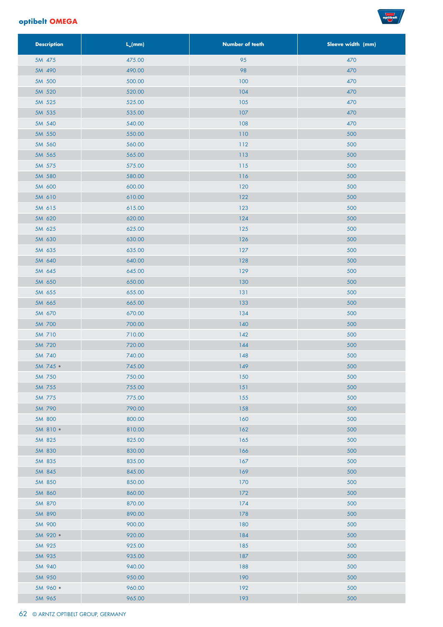

| <b>Description</b> | $L_{w}$ (mm)     | <b>Number of teeth</b> | Sleeve width (mm) |
|--------------------|------------------|------------------------|-------------------|
| 5M 475             | 475.00           | 95                     | 470               |
| 5M 490             | 490.00           | 98                     | 470               |
| 5M 500             | 500.00           | 100                    | 470               |
| 5M 520             | 520.00           | 104                    | 470               |
| 5M 525             | 525.00           | 105                    | 470               |
| 5M 535             | 535.00           | 107                    | 470               |
| 5M 540             | 540.00           | 108                    | 470               |
| 5M 550             | 550.00           | $110$                  | 500               |
| 5M 560             | 560.00           | 112                    | 500               |
| 5M 565             | 565.00           | 113                    | 500               |
| 5M 575             | 575.00           | 115                    | 500               |
| 5M 580             | 580.00           | 116                    | 500               |
| 5M 600             | 600.00           | 120                    | 500               |
| 5M 610             | 610.00           | 122                    | 500               |
| 5M 615             | 615.00           | 123                    | 500               |
| 5M 620             | 620.00           | 124                    | 500               |
| 5M 625             | 625.00           | 125                    | 500               |
| 5M 630             | 630.00           | 126                    | 500               |
| 5M 635             | 635.00           | 127                    | 500               |
| 5M 640             | 640.00           | 128                    | 500               |
| 5M 645             | 645.00           | 129                    | 500               |
| 5M 650             | 650.00           | 130                    | 500               |
| 5M 655             | 655.00           | 131                    | 500               |
| 5M 665             | 665.00           | 133                    | 500               |
| 5M 670             | 670.00           | 134                    | 500               |
| 5M 700             | 700.00           | 140                    | 500               |
| 5M 710             | 710.00           | 142                    | 500               |
| 5M 720             | 720.00           | 144                    | 500               |
| 5M 740             | 740.00           | 148                    | 500               |
| 5M 745 ·           | 745.00           | 149                    | 500               |
| 5M 750             | 750.00           | 150                    | 500               |
| 5M 755             | 755.00           | 151                    | 500               |
| 5M 775             | 775.00           | 155                    | 500               |
| 5M 790             | 790.00           | 158                    | 500               |
| 5M 800             | 800.00           | 160                    | 500               |
| 5M 810 ·           | 810.00           | 162                    | 500               |
| 5M 825             | 825.00           | 165                    | 500               |
| 5M 830             | 830.00           | 166                    | 500               |
| 5M 835             | 835.00           | 167                    | 500               |
| 5M 845             | 845.00           | 169                    | 500               |
| 5M 850             | 850.00           | 170                    | 500               |
| 5M 860             | 860.00           | 172                    | 500               |
| 5M 870             | 870.00           | 174                    | 500               |
| 5M 890             | 890.00           | 178                    | 500               |
| 5M 900             | 900.00           | 180<br>184             | 500<br>500        |
| 5M 920 ·           | 920.00<br>925.00 | 185                    | 500               |
| 5M 925             |                  | 187                    | 500               |
| 5M 935<br>5M 940   | 935.00<br>940.00 | 188                    | 500               |
| 5M 950             | 950.00           | 190                    | 500               |
| 5M 960 ·           | 960.00           | 192                    | 500               |
| 5M 965             | 965.00           | 193                    | 500               |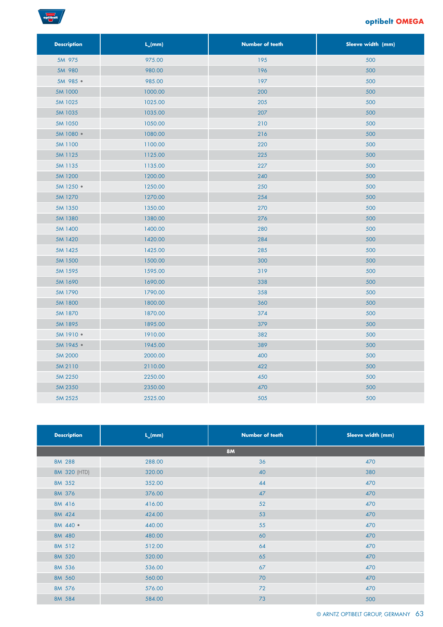

| <b>Description</b> | $L_{w}(mm)$ | <b>Number of teeth</b> | Sleeve width (mm) |
|--------------------|-------------|------------------------|-------------------|
| 5M 975             | 975.00      | 195                    | 500               |
| 5M 980             | 980.00      | 196                    | 500               |
| 5M 985 ·           | 985.00      | 197                    | 500               |
| 5M 1000            | 1000.00     | 200                    | 500               |
| 5M 1025            | 1025.00     | 205                    | 500               |
| 5M 1035            | 1035.00     | 207                    | 500               |
| 5M 1050            | 1050.00     | 210                    | 500               |
| 5M 1080 ·          | 1080.00     | 216                    | 500               |
| 5M 1100            | 1100.00     | 220                    | 500               |
| 5M 1125            | 1125.00     | 225                    | 500               |
| 5M 1135            | 1135.00     | 227                    | 500               |
| 5M 1200            | 1200.00     | 240                    | 500               |
| 5M 1250 ·          | 1250.00     | 250                    | 500               |
| 5M 1270            | 1270.00     | 254                    | 500               |
| 5M 1350            | 1350.00     | 270                    | 500               |
| 5M 1380            | 1380.00     | 276                    | 500               |
| 5M 1400            | 1400.00     | 280                    | 500               |
| 5M 1420            | 1420.00     | 284                    | 500               |
| 5M 1425            | 1425.00     | 285                    | 500               |
| 5M 1500            | 1500.00     | 300                    | 500               |
| 5M 1595            | 1595.00     | 319                    | 500               |
| 5M 1690            | 1690.00     | 338                    | 500               |
| 5M 1790            | 1790.00     | 358                    | 500               |
| 5M 1800            | 1800.00     | 360                    | 500               |
| 5M 1870            | 1870.00     | 374                    | 500               |
| 5M 1895            | 1895.00     | 379                    | 500               |
| 5M 1910 ·          | 1910.00     | 382                    | 500               |
| 5M 1945 ·          | 1945.00     | 389                    | 500               |
| 5M 2000            | 2000.00     | 400                    | 500               |
| 5M 2110            | 2110.00     | 422                    | 500               |
| 5M 2250            | 2250.00     | 450                    | 500               |
| 5M 2350            | 2350.00     | 470                    | 500               |
| 5M 2525            | 2525.00     | 505                    | 500               |

| <b>Description</b> | $L_{w}(mm)$ | <b>Number of teeth</b> | Sleeve width (mm) |
|--------------------|-------------|------------------------|-------------------|
|                    |             | <b>8M</b>              |                   |
| 8M 288             | 288.00      | 36                     | 470               |
| 8M 320 (HTD)       | 320.00      | 40                     | 380               |
| 8M 352             | 352.00      | 44                     | 470               |
| 8M 376             | 376.00      | 47                     | 470               |
| 8M 416             | 416.00      | 52                     | 470               |
| 8M 424             | 424.00      | 53                     | 470               |
| 8M 440 ·           | 440.00      | 55                     | 470               |
| 8M 480             | 480.00      | 60                     | 470               |
| 8M 512             | 512.00      | 64                     | 470               |
| 8M 520             | 520.00      | 65                     | 470               |
| 8M 536             | 536.00      | 67                     | 470               |
| 8M 560             | 560.00      | 70                     | 470               |
| 8M 576             | 576.00      | 72                     | 470               |
| 8M 584             | 584.00      | 73                     | 500               |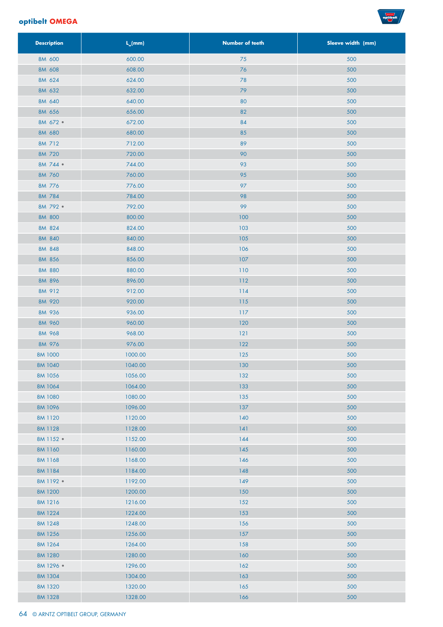

| <b>Description</b> | $L_{w}$ (mm)       | <b>Number of teeth</b> | Sleeve width (mm) |
|--------------------|--------------------|------------------------|-------------------|
| 8M 600             | 600.00             | 75                     | 500               |
| 8M 608             | 608.00             | 76                     | 500               |
| 8M 624             | 624.00             | 78                     | 500               |
| 8M 632             | 632.00             | 79                     | 500               |
| 8M 640             | 640.00             | 80                     | 500               |
| 8M 656             | 656.00             | 82                     | 500               |
| 8M 672 ·           | 672.00             | 84                     | 500               |
| 8M 680             | 680.00             | 85                     | 500               |
| 8M 712             | 712.00             | 89                     | 500               |
| 8M 720             | 720.00             | 90                     | 500               |
| 8M 744 ·           | 744.00             | 93                     | 500               |
| 8M 760             | 760.00             | 95                     | 500               |
| 8M 776             | 776.00             | 97                     | 500               |
| 8M 784             | 784.00             | 98                     | 500               |
| 8M 792 ·           | 792.00             | 99                     | 500               |
| 8M 800             | 800.00             | 100                    | 500               |
| 8M 824             | 824.00             | 103                    | 500               |
| 8M 840             | 840.00             | 105                    | 500               |
| 8M 848             | 848.00             | 106                    | 500               |
| 8M 856             | 856.00             | 107                    | 500               |
| 8M 880             | 880.00             | 110                    | 500               |
| 8M 896             | 896.00             | $112$                  | 500               |
| 8M 912             | 912.00             | $114$                  | 500               |
| 8M 920             | 920.00             | 115                    | 500               |
| 8M 936             | 936.00             | $117$                  | 500               |
| 8M 960             | 960.00             | 120                    | 500               |
| 8M 968             | 968.00             | 121                    | 500               |
| 8M 976             | 976.00             | 122                    | 500               |
| 8M 1000            | 1000.00            | 125                    | 500               |
| 8M 1040            | 1040.00            | 130                    | 500               |
| 8M 1056<br>8M 1064 | 1056.00            | 132                    | 500<br>500        |
| 8M 1080            | 1064.00<br>1080.00 | 133<br>135             | 500               |
| 8M 1096            | 1096.00            | 137                    | 500               |
| 8M 1120            | 1120.00            | 140                    | 500               |
| 8M 1128            | 1128.00            | 141                    | 500               |
| 8M 1152 ·          | 1152.00            | 144                    | 500               |
| 8M 1160            | 1160.00            | 145                    | 500               |
| 8M 1168            | 1168.00            | 146                    | 500               |
| 8M 1184            | 1184.00            | 148                    | 500               |
| 8M 1192 ·          | 1192.00            | 149                    | 500               |
| 8M 1200            | 1200.00            | 150                    | 500               |
| 8M 1216            | 1216.00            | 152                    | 500               |
| 8M 1224            | 1224.00            | 153                    | 500               |
| 8M 1248            | 1248.00            | 156                    | 500               |
| 8M 1256            | 1256.00            | 157                    | 500               |
| 8M 1264            | 1264.00            | 158                    | 500               |
| 8M 1280            | 1280.00            | 160                    | 500               |
| 8M 1296 ·          | 1296.00            | 162                    | 500               |
| 8M 1304            | 1304.00            | 163                    | 500               |
| 8M 1320            | 1320.00            | 165                    | 500               |
| 8M 1328            | 1328.00            | 166                    | 500               |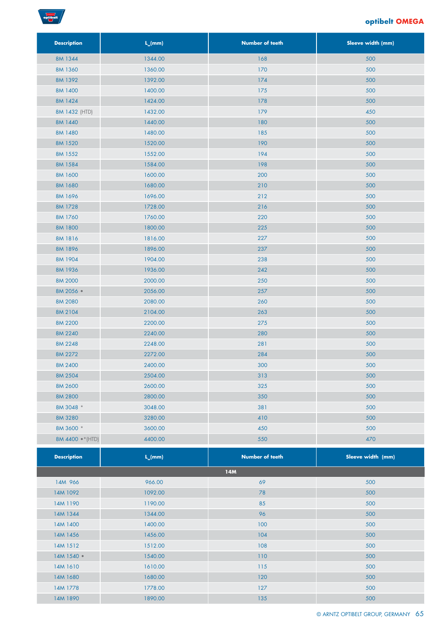

| <b>Description</b> | $L_{w}(mm)$ | <b>Number of teeth</b> | Sleeve width (mm) |
|--------------------|-------------|------------------------|-------------------|
| 8M 1344            | 1344.00     | 168                    | 500               |
| 8M 1360            | 1360.00     | 170                    | 500               |
| 8M 1392            | 1392.00     | 174                    | 500               |
| 8M 1400            | 1400.00     | 175                    | 500               |
| 8M 1424            | 1424.00     | 178                    | 500               |
| 8M 1432 (HTD)      | 1432.00     | 179                    | 450               |
| 8M 1440            | 1440.00     | 180                    | 500               |
| 8M 1480            | 1480.00     | 185                    | 500               |
| 8M 1520            | 1520.00     | 190                    | 500               |
| 8M 1552            | 1552.00     | 194                    | 500               |
| 8M 1584            | 1584.00     | 198                    | 500               |
| 8M 1600            | 1600.00     | 200                    | 500               |
| 8M 1680            | 1680.00     | 210                    | 500               |
| 8M 1696            | 1696.00     | 212                    | 500               |
| 8M 1728            | 1728.00     | 216                    | 500               |
| 8M 1760            | 1760.00     | 220                    | 500               |
| 8M 1800            | 1800.00     | 225                    | 500               |
| 8M 1816            | 1816.00     | 227                    | 500               |
| 8M 1896            | 1896.00     | 237                    | 500               |
| 8M 1904            | 1904.00     | 238                    | 500               |
| 8M 1936            | 1936.00     | 242                    | 500               |
| 8M 2000            | 2000.00     | 250                    | 500               |
| 8M 2056 ·          | 2056.00     | 257                    | 500               |
| 8M 2080            | 2080.00     | 260                    | 500               |
| 8M 2104            | 2104.00     | 263                    | 500               |
| 8M 2200            | 2200.00     | 275                    | 500               |
| 8M 2240            | 2240.00     | 280                    | 500               |
| 8M 2248            | 2248.00     | 281                    | 500               |
| 8M 2272            | 2272.00     | 284                    | 500               |
| 8M 2400            | 2400.00     | 300                    | 500               |
| 8M 2504            | 2504.00     | 313                    | 500               |
| 8M 2600            | 2600.00     | 325                    | 500               |
| 8M 2800            | 2800.00     | 350                    | 500               |
| 8M 3048 *          | 3048.00     | 381                    | 500               |
| 8M 3280            | 3280.00     | 410                    | 500               |
| 8M 3600 *          | 3600.00     | 450                    | 500               |
| 8M 4400 ·* (HTD)   | 4400.00     | 550                    | 470               |
|                    |             |                        |                   |
| <b>Description</b> | $L_{w}(mm)$ | <b>Number of teeth</b> | Sleeve width (mm) |
|                    |             | 14M                    |                   |
| 14M 966            | 966.00      | 69                     | 500               |
| 14M 1092           | 1092.00     | 78                     | 500               |
| 14M 1190           | 1190.00     | 85                     | 500               |
| 14M 1344           | 1344.00     | 96                     | 500               |
| 14M 1400           | 1400.00     | 100                    | 500               |
| 14M 1456           | 1456.00     | 104                    | 500               |
| 14M 1512           | 1512.00     | 108                    | 500               |
| 14M 1540 ·         | 1540.00     | 110                    | 500               |
| 14M 1610           | 1610.00     | 115                    | 500               |
| 14M 1680           | 1680.00     | 120                    | 500               |
| 14M 1778           | 1778.00     | $127$                  | 500               |
| 14M 1890           | 1890.00     | 135                    | 500               |
|                    |             |                        |                   |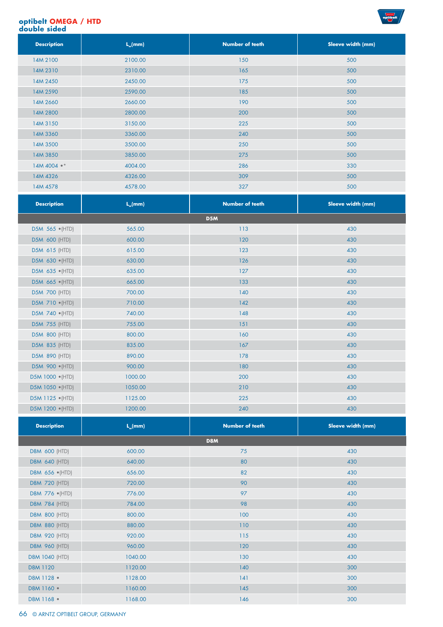#### **optibelt OMEGA / HTD double sided**



| <b>Description</b> | $L_{w}(mm)$ | <b>Number of teeth</b> | Sleeve width (mm) |
|--------------------|-------------|------------------------|-------------------|
| 14M 2100           | 2100.00     | 150                    | 500               |
| 14M 2310           | 2310.00     | 165                    | 500               |
| 14M 2450           | 2450.00     | 175                    | 500               |
| 14M 2590           | 2590.00     | 185                    | 500               |
| 14M 2660           | 2660.00     | 190                    | 500               |
| 14M 2800           | 2800.00     | 200                    | 500               |
| 14M 3150           | 3150.00     | 225                    | 500               |
| 14M 3360           | 3360.00     | 240                    | 500               |
| 14M 3500           | 3500.00     | 250                    | 500               |
| 14M 3850           | 3850.00     | 275                    | 500               |
| 14M 4004 ·*        | 4004.00     | 286                    | 330               |
| 14M 4326           | 4326.00     | 309                    | 500               |
| 14M 4578           | 4578.00     | 327                    | 500               |

| <b>Description</b>       | $L_{m}(mm)$ | <b>Number of teeth</b> | Sleeve width (mm) |
|--------------------------|-------------|------------------------|-------------------|
|                          |             | D <sub>5</sub> M       |                   |
| D5M 565 • (HTD)          | 565.00      | 113                    | 430               |
| <b>D5M 600 (HTD)</b>     | 600.00      | 120                    | 430               |
| D5M 615 (HTD)            | 615.00      | 123                    | 430               |
| D5M 630 (HTD)            | 630.00      | 126                    | 430               |
| D5M 635 (HTD)            | 635.00      | 127                    | 430               |
| D5M 665 (HTD)            | 665.00      | 133                    | 430               |
| <b>D5M 700 (HTD)</b>     | 700.00      | 140                    | 430               |
| D5M 710 (HTD)            | 710.00      | 142                    | 430               |
| D5M 740 · (HTD)          | 740.00      | 148                    | 430               |
| D5M 755 (HTD)            | 755.00      | 151                    | 430               |
| <b>D5M 800 (HTD)</b>     | 800.00      | 160                    | 430               |
| <b>D5M 835 (HTD)</b>     | 835.00      | 167                    | 430               |
| D5M 890 (HTD)            | 890.00      | 178                    | 430               |
| D5M 900 (HTD)            | 900.00      | 180                    | 430               |
| D5M 1000 · (HTD)         | 1000.00     | 200                    | 430               |
| D5M 1050 • (HTD)         | 1050.00     | 210                    | 430               |
| D5M 1125 $\bullet$ (HTD) | 1125.00     | 225                    | 430               |
| D5M 1200 · (HTD)         | 1200.00     | 240                    | 430               |

| <b>Description</b>    | $L_{w}(mm)$ | <b>Number of teeth</b> | Sleeve width (mm) |  |  |  |
|-----------------------|-------------|------------------------|-------------------|--|--|--|
| D8M                   |             |                        |                   |  |  |  |
| <b>D8M 600 (HTD)</b>  | 600.00      | 75                     | 430               |  |  |  |
| <b>D8M 640 (HTD)</b>  | 640.00      | 80                     | 430               |  |  |  |
| D8M 656 • (HTD)       | 656.00      | 82                     | 430               |  |  |  |
| <b>D8M 720 (HTD)</b>  | 720.00      | 90                     | 430               |  |  |  |
| D8M 776 • (HTD)       | 776.00      | 97                     | 430               |  |  |  |
| <b>D8M 784 (HTD)</b>  | 784.00      | 98                     | 430               |  |  |  |
| <b>D8M 800 (HTD)</b>  | 800.00      | 100                    | 430               |  |  |  |
| <b>D8M 880 (HTD)</b>  | 880.00      | 110                    | 430               |  |  |  |
| <b>D8M 920 (HTD)</b>  | 920.00      | 115                    | 430               |  |  |  |
| <b>D8M 960 (HTD)</b>  | 960.00      | 120                    | 430               |  |  |  |
| <b>D8M 1040 (HTD)</b> | 1040.00     | 130                    | 430               |  |  |  |
| D8M 1120              | 1120.00     | 140                    | 300               |  |  |  |
| D8M 1128 •            | 1128.00     | 141                    | 300               |  |  |  |
| D8M 1160 .            | 1160.00     | 145                    | 300               |  |  |  |
| D8M 1168 .            | 1168.00     | 146                    | 300               |  |  |  |